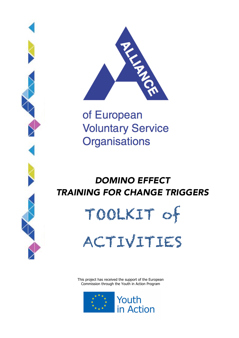



of European **Voluntary Service Organisations** 

# *DOMINO EFFECT TRAINING FOR CHANGE TRIGGERS*

TOOLKIT of

ACTIVITIES

This project has received the support of the European Commission through the Youth in Action Program

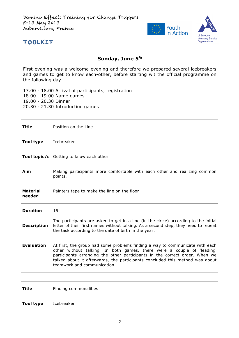

#### Sunday, June 5<sup>th</sup>

First evening was a welcome evening and therefore we prepared several icebreakers and games to get to know each-other, before starting wit the official programme on the following day.

- 17.00 18.00 Arrival of participants, registration 18.00 - 19.00 Name games
- 19.00 20.30 Dinner
- 20.30 21.30 Introduction games

| Title              | Position on the Line                                                                                                                                                                                                                                                                                                                                 |
|--------------------|------------------------------------------------------------------------------------------------------------------------------------------------------------------------------------------------------------------------------------------------------------------------------------------------------------------------------------------------------|
| Tool type          | Icebreaker                                                                                                                                                                                                                                                                                                                                           |
| Tool topic/s       | Getting to know each other                                                                                                                                                                                                                                                                                                                           |
| Aim                | Making participants more comfortable with each other and realizing common<br>points.                                                                                                                                                                                                                                                                 |
| Material<br>needed | Painters tape to make the line on the floor                                                                                                                                                                                                                                                                                                          |
| <b>Duration</b>    | 15'                                                                                                                                                                                                                                                                                                                                                  |
| <b>Description</b> | The participants are asked to get in a line (in the circle) according to the initial<br>letter of their first names without talking. As a second step, they need to repeat<br>the task according to the date of birth in the year.                                                                                                                   |
| <b>Evaluation</b>  | At first, the group had some problems finding a way to communicate with each<br>other without talking. In both games, there were a couple of 'leading'<br>participants arranging the other participants in the correct order. When we<br>talked about it afterwards, the participants concluded this method was about<br>teamwork and communication. |

| Title     | Finding commonalities |
|-----------|-----------------------|
| Tool type | Icebreaker            |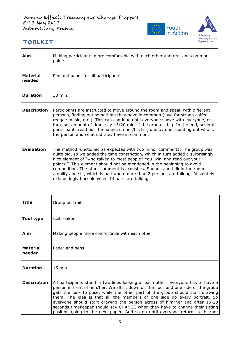

| Aim                       | Making participants more comfortable with each other and realizing common<br>points.                                                                                                                                                                                                                                                                                                                                                                                                                                                   |
|---------------------------|----------------------------------------------------------------------------------------------------------------------------------------------------------------------------------------------------------------------------------------------------------------------------------------------------------------------------------------------------------------------------------------------------------------------------------------------------------------------------------------------------------------------------------------|
| <b>Material</b><br>needed | Pen and paper for all participants                                                                                                                                                                                                                                                                                                                                                                                                                                                                                                     |
| <b>Duration</b>           | 30 min.                                                                                                                                                                                                                                                                                                                                                                                                                                                                                                                                |
| <b>Description</b>        | Participants are instructed to move around the room and speak with different<br>persons, finding out something they have in common (love for strong coffee,<br>reggae music, etc.). This can continue until everyone spoke with everyone, or<br>for a set amount of time, say 15/20 min. if the group is big. In the end, several<br>participants read out the names on her/his list, one by one, pointing out who is<br>the person and what did they have in common.                                                                  |
| <b>Evaluation</b>         | The method functioned as expected with two minor comments: The group was<br>quite big, so we added the time constriction, which in turn added a surprisingly<br>nice element of "who talked to most people? You 'win' and read out your<br>points.". This element should not be mentioned in the beginning to avoid<br>competition. The other comment is acoustics. Sounds and talk in the room<br>amplify and silt, which is bad when more than 2 persons are talking. Absolutely<br>exhaustingly horrible when 14 pairs are talking. |

| Title              | Group portrait                                                                                                                                                                                                                                                                                                                                                                                                                                                                                                                                                                     |
|--------------------|------------------------------------------------------------------------------------------------------------------------------------------------------------------------------------------------------------------------------------------------------------------------------------------------------------------------------------------------------------------------------------------------------------------------------------------------------------------------------------------------------------------------------------------------------------------------------------|
| Tool type          | Icebreaker                                                                                                                                                                                                                                                                                                                                                                                                                                                                                                                                                                         |
| Aim                | Making people more comfortable with each other                                                                                                                                                                                                                                                                                                                                                                                                                                                                                                                                     |
| Material<br>needed | Paper and pens                                                                                                                                                                                                                                                                                                                                                                                                                                                                                                                                                                     |
| <b>Duration</b>    | $15 \text{ min}$                                                                                                                                                                                                                                                                                                                                                                                                                                                                                                                                                                   |
| <b>Description</b> | All participants stand in two lines looking at each other. Everyone has to have a<br>person in front of him/her. We all sit down on the floor and one side of the group<br>gets the task to pose, while the other part of the group should start drawing<br>them. The idea is that all the members of one side do every portrait. So<br>everyone should start drawing the person across of him/her and after 15-20<br>seconds timekeeper should say CHANGE when they have to change their sitting<br>position going to the next paper. And so on until everyone returns to his/her |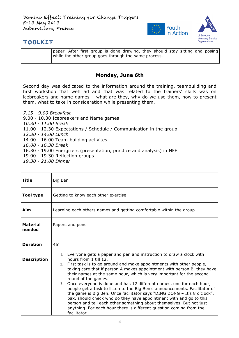

paper. After first group is done drawing, they should stay sitting and posing while the other group goes through the same process.

#### **Monday, June 6th**

Second day was dedicated to the information around the training, teambuilding and first workshop that weh ad and that was related to the trainers' skills was on icebreakers and name games – what are they, why do we use them, how to present them, what to take in consideration while presenting them.

- *7.15 - 9.00 Breakfast* 9.00 - 10.30 Icebreakers and Name games *10.30 - 11.00 Break* 11.00 - 12.30 Expectations / Schedule / Communication in the group *12.30 - 14.00 Lunch* 14.00 - 16.00 Team-building activites *16.00 - 16.30 Break* 16.30 - 19.00 Energizers (presentation, practice and analysis) in NFE 19.00 - 19.30 Reflection groups
- *19.30 - 21.00 Dinner*

| Title                     | Big Ben                                                                                                                                                                                                                                                                                                                                                                                                                                                                                                                                                                                                                                                                                                                                                                                                                     |
|---------------------------|-----------------------------------------------------------------------------------------------------------------------------------------------------------------------------------------------------------------------------------------------------------------------------------------------------------------------------------------------------------------------------------------------------------------------------------------------------------------------------------------------------------------------------------------------------------------------------------------------------------------------------------------------------------------------------------------------------------------------------------------------------------------------------------------------------------------------------|
| <b>Tool type</b>          | Getting to know each other exercise                                                                                                                                                                                                                                                                                                                                                                                                                                                                                                                                                                                                                                                                                                                                                                                         |
| Aim                       | Learning each others names and getting comfortable within the group                                                                                                                                                                                                                                                                                                                                                                                                                                                                                                                                                                                                                                                                                                                                                         |
| <b>Material</b><br>needed | Papers and pens                                                                                                                                                                                                                                                                                                                                                                                                                                                                                                                                                                                                                                                                                                                                                                                                             |
| <b>Duration</b>           | 45'                                                                                                                                                                                                                                                                                                                                                                                                                                                                                                                                                                                                                                                                                                                                                                                                                         |
| <b>Description</b>        | 1. Everyone gets a paper and pen and instruction to draw a clock with<br>hours from 1 till 12.<br>2. First task is to go around and make appointments with other people,<br>taking care that if person A makes appointment with person B, they have<br>their names at the same hour, which is very important for the second<br>round of the games.<br>3. Once everyone is done and has 12 different names, one for each hour,<br>people get a task to listen to the Big Ben's announcements. Facilitator of<br>the game is Big Ben. Once facilitator says "DING DONG - It's 8 o'clock",<br>pax. should check who do they have appointment with and go to this<br>person and tell each other something about themselves. But not just<br>anything. For each hour there is different question coming from the<br>facilitator. |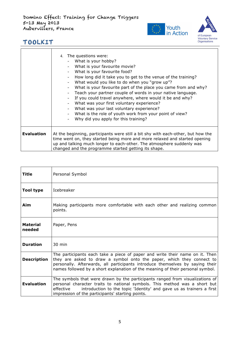Domino Effect: Training for Change Triggers 5-13 May 2013 Aubervillers, France





٦

|                   | 4. The questions were:<br>What is your hobby?<br>What is your favourite movie?<br>What is your favourite food?<br>How long did it take you to get to the venue of the training?<br>What would you like to do when you "grow up"?<br>What is your favourite part of the place you came from and why?<br>Teach your partner couple of words in your native language.<br>If you could travel anywhere, where would it be and why?<br>What was your first voluntary experience?<br>What was your last voluntary experience?<br>What is the role of youth work from your point of view?<br>Why did you apply for this training? |
|-------------------|----------------------------------------------------------------------------------------------------------------------------------------------------------------------------------------------------------------------------------------------------------------------------------------------------------------------------------------------------------------------------------------------------------------------------------------------------------------------------------------------------------------------------------------------------------------------------------------------------------------------------|
| <b>Evaluation</b> | At the beginning, participants were still a bit shy with each-other, but how the<br>time went on, they started being more and more relaxed and started opening<br>up and talking much longer to each-other. The atmosphere suddenly was<br>changed and the programme started getting its shape.                                                                                                                                                                                                                                                                                                                            |

| Title                     | Personal Symbol                                                                                                                                                                                                                                                                                                          |
|---------------------------|--------------------------------------------------------------------------------------------------------------------------------------------------------------------------------------------------------------------------------------------------------------------------------------------------------------------------|
| <b>Tool type</b>          | <b>Icebreaker</b>                                                                                                                                                                                                                                                                                                        |
| Aim                       | Making participants more comfortable with each other and realizing common<br>points.                                                                                                                                                                                                                                     |
| <b>Material</b><br>needed | Paper, Pens                                                                                                                                                                                                                                                                                                              |
| <b>Duration</b>           | $30 \text{ min}$                                                                                                                                                                                                                                                                                                         |
| <b>Description</b>        | The participants each take a piece of paper and write their name on it. Then<br>they are asked to draw a symbol onto the paper, which they connect to<br>personally. Afterwards, all participants introduce themselves by saying their<br>names followed by a short explanation of the meaning of their personal symbol. |
| <b>Evaluation</b>         | The symbols that were drawn by the participants ranged from visualizations of<br>personal character traits to national symbols. This method was a short but<br>introduction to the topic 'Identity' and gave us as trainers a first<br>effective<br>impression of the participants' starting points.                     |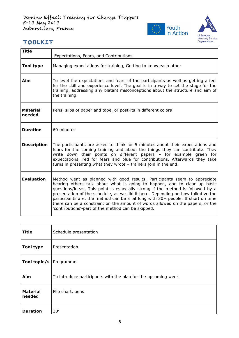



| <b>Title</b>              | Expectations, Fears, and Contributions                                                                                                                                                                                                                                                                                                                                                                                                                                                                                                                  |
|---------------------------|---------------------------------------------------------------------------------------------------------------------------------------------------------------------------------------------------------------------------------------------------------------------------------------------------------------------------------------------------------------------------------------------------------------------------------------------------------------------------------------------------------------------------------------------------------|
| <b>Tool type</b>          | Managing expectations for training, Getting to know each other                                                                                                                                                                                                                                                                                                                                                                                                                                                                                          |
| Aim                       | To level the expectations and fears of the participants as well as getting a feel<br>for the skill and experience level. The goal is in a way to set the stage for the<br>training, addressing any blatant misconceptions about the structure and aim of<br>the training.                                                                                                                                                                                                                                                                               |
| <b>Material</b><br>needed | Pens, slips of paper and tape, or post-its in different colors                                                                                                                                                                                                                                                                                                                                                                                                                                                                                          |
| <b>Duration</b>           | 60 minutes                                                                                                                                                                                                                                                                                                                                                                                                                                                                                                                                              |
| <b>Description</b>        | The participants are asked to think for 5 minutes about their expectations and<br>fears for the coming training and about the things they can contribute. They<br>write down their points on different papers - for example green for<br>expectations, red for fears and blue for contributions. Afterwards they take<br>turns in presenting what they wrote - trainers join in the end.                                                                                                                                                                |
| <b>Evaluation</b>         | Method went as planned with good results. Participants seem to appreciate<br>hearing others talk about what is going to happen, and to clear up basic<br>questions/ideas. This point is especially strong if the method is followed by a<br>presentation of the schedule, as we did it here. Depending on how talkative the<br>participants are, the method can be a bit long with 30+ people. If short on time<br>there can be a constraint on the amount of words allowed on the papers, or the<br>'contributions'-part of the method can be skipped. |

| <b>Title</b>              | Schedule presentation                                         |
|---------------------------|---------------------------------------------------------------|
| <b>Tool type</b>          | Presentation                                                  |
| Tool topic/s              | Programme                                                     |
| Aim                       | To introduce participants with the plan for the upcoming week |
| <b>Material</b><br>needed | Flip chart, pens                                              |
| <b>Duration</b>           | 30'                                                           |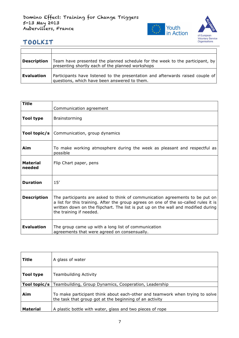

| Description | Team have presented the planned schedule for the week to the participant, by<br>presenting shortly each of the planned workshops |
|-------------|----------------------------------------------------------------------------------------------------------------------------------|
| Evaluation  | Participants have listened to the presentation and afterwards raised couple of<br>questions, which have been answered to them.   |

| <b>Title</b>              | Communication agreement                                                                                                                                                                                                                                                              |
|---------------------------|--------------------------------------------------------------------------------------------------------------------------------------------------------------------------------------------------------------------------------------------------------------------------------------|
| <b>Tool type</b>          | <b>Brainstorming</b>                                                                                                                                                                                                                                                                 |
| Tool topic/s $ $          | Communication, group dynamics                                                                                                                                                                                                                                                        |
| Aim                       | To make working atmosphere during the week as pleasant and respectful as<br>possible                                                                                                                                                                                                 |
| <b>Material</b><br>needed | Flip Chart paper, pens                                                                                                                                                                                                                                                               |
| <b>Duration</b>           | 15'                                                                                                                                                                                                                                                                                  |
| <b>Description</b>        | The participants are asked to think of communication agreements to be put on<br>a list for this training. After the group agrees on one of the so-called rules it is<br>written down on the flipchart. The list is put up on the wall and modified during<br>the training if needed. |
| <b>Evaluation</b>         | The group came up with a long list of communication<br>agreements that were agreed on consensually.                                                                                                                                                                                  |

| Title           | A glass of water                                                                                                                        |
|-----------------|-----------------------------------------------------------------------------------------------------------------------------------------|
| Tool type       | <b>Teambuilding Activity</b>                                                                                                            |
| Tool topic/s    | Teambuilding, Group Dynamics, Cooperation, Leadership                                                                                   |
| Aim             | To make participant think about each-other and teamwork when trying to solve<br>the task that group got at the beginning of an activity |
| <b>Material</b> | A plastic bottle with water, glass and two pieces of rope                                                                               |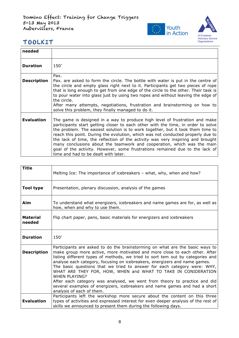

| needed             |                                                                                                                                                                                                                                                                                                                                                                                                                                                                                                                                                                                                                                                                                   |
|--------------------|-----------------------------------------------------------------------------------------------------------------------------------------------------------------------------------------------------------------------------------------------------------------------------------------------------------------------------------------------------------------------------------------------------------------------------------------------------------------------------------------------------------------------------------------------------------------------------------------------------------------------------------------------------------------------------------|
| <b>Duration</b>    | 150'                                                                                                                                                                                                                                                                                                                                                                                                                                                                                                                                                                                                                                                                              |
| <b>Description</b> | Pax.<br>Pax, are asked to form the circle. The bottle with water is put in the centre of<br>the circle and empty glass right next to it. Participants get two pieces of rope<br>that is long enough to get from one edge of the circle to the other. Their task is<br>to pour water into glass just by using two ropes and without leaving the edge of<br>the circle.<br>After many attempts, negotiations, frustration and brainstorming on how to                                                                                                                                                                                                                               |
| <b>Evaluation</b>  | solve this problem, they finally managed to do it.<br>The game is designed in a way to produce high level of frustration and make<br>participants start getting closer to each other with the time, in order to solve<br>the problem. The easiest solution is to work together, but it took them time to<br>reach this point. During the evolution, which was not conducted properly due to<br>the lack of time, the reflection of the activity was very inspiring and brought<br>many conclusions about the teamwork and cooperation, which was the main<br>goal of the activity. However, some frustrations remained due to the lack of<br>time and had to be dealt with later. |

| <b>Title</b>              | Melting Ice: The importance of icebreakers – what, why, when and how?                                                                                                                                                                                                                                                                                                                                                                                                                                                                                                                                                                                                                   |
|---------------------------|-----------------------------------------------------------------------------------------------------------------------------------------------------------------------------------------------------------------------------------------------------------------------------------------------------------------------------------------------------------------------------------------------------------------------------------------------------------------------------------------------------------------------------------------------------------------------------------------------------------------------------------------------------------------------------------------|
| Tool type                 | Presentation, plenary discussion, analysis of the games                                                                                                                                                                                                                                                                                                                                                                                                                                                                                                                                                                                                                                 |
| Aim                       | To understand what energizers, icebreakers and name games are for, as well as<br>how, when and why to use them.                                                                                                                                                                                                                                                                                                                                                                                                                                                                                                                                                                         |
| <b>Material</b><br>needed | Flip chart paper, pens, basic materials for energizers and icebreakers                                                                                                                                                                                                                                                                                                                                                                                                                                                                                                                                                                                                                  |
| <b>Duration</b>           | 150'                                                                                                                                                                                                                                                                                                                                                                                                                                                                                                                                                                                                                                                                                    |
| <b>Description</b>        | Participants are asked to do the brainstorming on what are the basic ways to<br>make group more active, more motivated and more close to each other. After<br>listing different types of methods, we tried to sort tem out by categories and<br>analyse each category, focusing on icebreakers, energizers and name games.<br>The basic questions that we tried to answer for each category were: WHY,<br>WHAT ARE THEY FOR, HOW, WHEN and WHAT TO TAKE IN CONIDERATION<br><b>WHEN PLAYING?</b><br>After each category was analysed, we went from theory to practice and did<br>several examples of energizers, icebreakers and name games and had a short<br>analysis of each of them. |
| <b>Evaluation</b>         | Participants left the workshop more secure about the content on this three<br>types of activities and expressed interest for even deeper analysis of the rest of<br>skills we announced to present them during the following days.                                                                                                                                                                                                                                                                                                                                                                                                                                                      |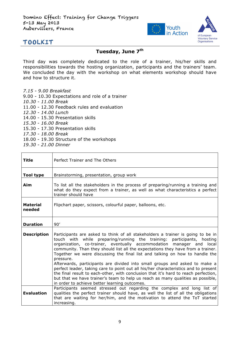

#### **Tuesday, June 7th**

Third day was completely dedicated to the role of a trainer, his/her skills and responsibilities towards the hosting organization, participants and the trainers' team. We concluded the day with the workshop on what elements workshop should have and how to structure it.

- *7.15 - 9.00 Breakfast*
- 9.00 10.30 Expectations and role of a trainer
- *10.30 - 11.00 Break*
- 11.00 12.30 Feedback rules and evaluation
- *12.30 - 14.00 Lunch*
- 14.00 15.30 Presentation skills
- *15.30 - 16.00 Break*
- 15.30 17.30 Presentation skills
- *17.30 - 18.00 Break*
- 18.00 19.30 Structure of the workshops
- *19.30 - 21.00 Dinner*

| Title                     | Perfect Trainer and The Others                                                                                                                                                                                                                                                                                                                                                                                                                                                                                                                                                                                                                                                                                                                                                                                   |
|---------------------------|------------------------------------------------------------------------------------------------------------------------------------------------------------------------------------------------------------------------------------------------------------------------------------------------------------------------------------------------------------------------------------------------------------------------------------------------------------------------------------------------------------------------------------------------------------------------------------------------------------------------------------------------------------------------------------------------------------------------------------------------------------------------------------------------------------------|
| <b>Tool type</b>          | Brainstorming, presentation, group work                                                                                                                                                                                                                                                                                                                                                                                                                                                                                                                                                                                                                                                                                                                                                                          |
| Aim                       | To list all the stakeholders in the process of preparing/running a training and<br>what do they expect from a trainer, as well as what characteristics a perfect<br>trainer should have                                                                                                                                                                                                                                                                                                                                                                                                                                                                                                                                                                                                                          |
| <b>Material</b><br>needed | Flipchart paper, scissors, colourful paper, balloons, etc.                                                                                                                                                                                                                                                                                                                                                                                                                                                                                                                                                                                                                                                                                                                                                       |
| <b>Duration</b>           | 90'                                                                                                                                                                                                                                                                                                                                                                                                                                                                                                                                                                                                                                                                                                                                                                                                              |
| <b>Description</b>        | Participants are asked to think of all stakeholders a trainer is going to be in<br>touch with while preparing/running the training: participants, hosting<br>organization, co-trainer, eventually accommodation manager and local<br>community. Than they should list all the expectations they have from a trainer.<br>Together we were discussing the final list and talking on how to handle the<br>pressure.<br>Afterwards, participants are divided into small groups and asked to make a<br>perfect leader, taking care to point out all his/her characteristics and to present<br>the final result to each-other, with conclusion that it's hard to reach perfection,<br>but that we have trainer's team to help us reach as many qualities as possible,<br>in order to achieve better learning outcomes. |
| <b>Evaluation</b>         | Participants seemed stressed out regarding the complex and long list of<br>qualities the perfect trainer should have, as well the list of all the obligations<br>that are waiting for her/him, and the motivation to attend the ToT started<br>increasing.                                                                                                                                                                                                                                                                                                                                                                                                                                                                                                                                                       |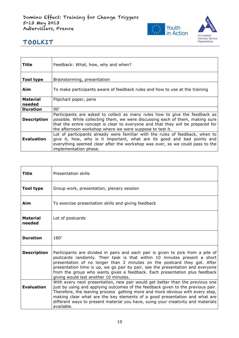

| Title                     | Feedback: What, how, why and when?                                                                                                                                                                                                                                                                          |
|---------------------------|-------------------------------------------------------------------------------------------------------------------------------------------------------------------------------------------------------------------------------------------------------------------------------------------------------------|
| <b>Tool type</b>          | Brainstorming, presentation                                                                                                                                                                                                                                                                                 |
| Aim                       | To make participants aware of feedback rules and how to use at the training                                                                                                                                                                                                                                 |
| <b>Material</b><br>needed | Flipchart paper, pens                                                                                                                                                                                                                                                                                       |
| <b>Duration</b>           | 90'                                                                                                                                                                                                                                                                                                         |
| <b>Description</b>        | Participants are asked to collect as many rules how to give the feedback as<br>possible. While collecting them, we were discussing each of them, making sure<br>that the entire concept is clear to everyone and that they will be prepared for<br>the afternoon workshop where we were suppose to test it. |
| <b>Evaluation</b>         | Lot of participants already were familiar with the rules of feedback, when to<br>give it, how, why is it important, what are its good and bad points and<br>everything seemed clear after the workshop was over, so we could pass to the<br>implementation phase.                                           |

| Title                     | Presentation skills                                                                                                                                                                                                                                                                                                                                                                                                                              |
|---------------------------|--------------------------------------------------------------------------------------------------------------------------------------------------------------------------------------------------------------------------------------------------------------------------------------------------------------------------------------------------------------------------------------------------------------------------------------------------|
| Tool type                 | Group work, presentation, plenary session                                                                                                                                                                                                                                                                                                                                                                                                        |
| Aim                       | To exercise presentation skills and giving feedback                                                                                                                                                                                                                                                                                                                                                                                              |
| <b>Material</b><br>needed | Lot of postcards                                                                                                                                                                                                                                                                                                                                                                                                                                 |
| <b>Duration</b>           | 180'                                                                                                                                                                                                                                                                                                                                                                                                                                             |
| <b>Description</b>        | Participants are divided in pairs and each pair is given to pick from a pile of<br>postcards randomly. Their task is that within 10 minutes present a short<br>presentation of no longer than 2 minutes on the postcard they got. After<br>presentation time is up, we go pair by pair, see the presentation and everyone<br>from the group who wants gives a feedback. Each presentation plus feedback<br>giving would last another 10 minutes. |
| <b>Evaluation</b>         | With every next presentation, new pair would get better than the previous one<br>just by using and applying outcomes of the feedback given to the previous pair.<br>Therefore, the leaning process getting more and more obvious with every step,<br>making clear what are the key elements of a good presentation and what are<br>different ways to present material you have, suing your creativity and materials<br>available.                |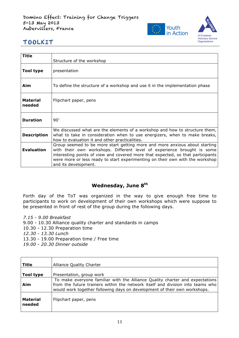

| <b>Title</b>              | Structure of the workshop                                                                                                                                                                                                                                                                                                                         |
|---------------------------|---------------------------------------------------------------------------------------------------------------------------------------------------------------------------------------------------------------------------------------------------------------------------------------------------------------------------------------------------|
| Tool type                 | presentation                                                                                                                                                                                                                                                                                                                                      |
| Aim                       | To define the structure of a workshop and use it in the implementation phase                                                                                                                                                                                                                                                                      |
| <b>Material</b><br>needed | Flipchart paper, pens                                                                                                                                                                                                                                                                                                                             |
| <b>Duration</b>           | 90'                                                                                                                                                                                                                                                                                                                                               |
| <b>Description</b>        | We discussed what are the elements of a workshop and how to structure them,<br>what to take in consideration when to use energizers, when to make breaks,<br>how to evaluation it and other practicalities.                                                                                                                                       |
| <b>Evaluation</b>         | Group seemed to be more start getting more and more anxious about starting<br>with their own workshops. Different level of experience brought is some<br>interesting points of view and covered more that expected, so that participants<br>were more or less ready to start experimenting on their own with the workshop<br>and its development. |

#### **Wednesday, June 8th**

Forth day of the ToT was organized in the way to give enough free time to participants to work on development of their own workshops which were suppose to be presented in front of rest of the group during the following days.

*7.15 - 9.00 Breakfast* 9.00 - 10.30 Alliance quality charter and standards in camps 10.30 - 12.30 Preparation time *12.30 - 13.30 Lunch* 13.30 - 19.00 Preparation time / Free time

*19.00 - 20.30 Dinner outside*

| Title                     | <b>Alliance Quality Charter</b>                                                                                                                                                                                                             |
|---------------------------|---------------------------------------------------------------------------------------------------------------------------------------------------------------------------------------------------------------------------------------------|
| Tool type                 | Presentation, group work                                                                                                                                                                                                                    |
| Aim                       | To make everyone familiar with the Alliance Quality charter and expectations<br>from the future trainers within the network itself and division into teams who<br>would work together following days on development of their own workshops. |
| <b>Material</b><br>needed | Flipchart paper, pens                                                                                                                                                                                                                       |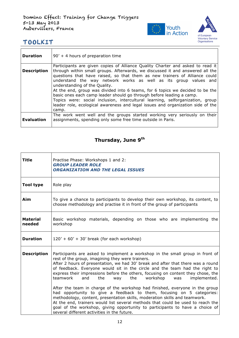

| <b>Duration</b>    | $90' + 4$ hours of preparation time                                                                                                                                                                                                                                                                                                                                                                                                                                                                                                                                                                                                                                                       |
|--------------------|-------------------------------------------------------------------------------------------------------------------------------------------------------------------------------------------------------------------------------------------------------------------------------------------------------------------------------------------------------------------------------------------------------------------------------------------------------------------------------------------------------------------------------------------------------------------------------------------------------------------------------------------------------------------------------------------|
| <b>Description</b> | Participants are given copies of Alliance Quality Charter and asked to read it<br>through within small groups. Afterwards, we discussed it and answered all the<br>questions that have raised, so that them as new trainers of Alliance could<br>understand the way network works as well as its group values and<br>understanding of the Quality.<br>At the end, group was divided into 6 teams, for 6 topics we decided to be the<br>basic ones each camp leader should go through before leading a camp.<br>Topics were: social inclusion, intercultural learning, selforganization, group<br>leader role, ecological awareness and legal issues and organization side of the<br>camp. |
| <b>Evaluation</b>  | The work went well and the groups started working very seriously on their<br>assignments, spending only some free time outside in Paris.                                                                                                                                                                                                                                                                                                                                                                                                                                                                                                                                                  |

# **Thursday, June 9th**

| Title                     | Practise Phase: Workshops 1 and 2:<br><b>GROUP LEADER ROLE</b><br><b>ORGANIZATION AND THE LEGAL ISSUES</b>                                                                                                                                                                                                                                                                                                                                                                                                                                                                                                                                                                                                                                                                                                                                                                                                                   |
|---------------------------|------------------------------------------------------------------------------------------------------------------------------------------------------------------------------------------------------------------------------------------------------------------------------------------------------------------------------------------------------------------------------------------------------------------------------------------------------------------------------------------------------------------------------------------------------------------------------------------------------------------------------------------------------------------------------------------------------------------------------------------------------------------------------------------------------------------------------------------------------------------------------------------------------------------------------|
| <b>Tool type</b>          | Role play                                                                                                                                                                                                                                                                                                                                                                                                                                                                                                                                                                                                                                                                                                                                                                                                                                                                                                                    |
| Aim                       | To give a chance to participants to develop their own workshop, its content, to<br>choose methodology and practise it in front of the group of participants                                                                                                                                                                                                                                                                                                                                                                                                                                                                                                                                                                                                                                                                                                                                                                  |
| <b>Material</b><br>needed | Basic workshop materials, depending on those who are implementing the<br>workshop                                                                                                                                                                                                                                                                                                                                                                                                                                                                                                                                                                                                                                                                                                                                                                                                                                            |
| <b>Duration</b>           | $120' + 60' + 30'$ break (for each workshop)                                                                                                                                                                                                                                                                                                                                                                                                                                                                                                                                                                                                                                                                                                                                                                                                                                                                                 |
| <b>Description</b>        | Participants are asked to implement a workshop in the small group in front of<br>rest of the group, imagining they were trainers.<br>After 2 hours of presentation, we had 30' break and after that there was a round<br>of feedback. Everyone would sit in the circle and the team had the right to<br>express their impressions before the others, focusing on content they chose, the<br>the<br>the<br>teamwork<br>and<br>workshop<br>implemented.<br>way<br>was<br>After the team in charge of the workshop had finished, everyone in the group<br>had opportunity to give a feedback to them, focusing on 5 categories:<br>methodology, content, presentation skills, moderation skills and teamwork.<br>At the end, trainers would list several methods that could be used to reach the<br>goal of the workshop, giving opportunity to participants to have a choice of<br>several different activities in the future. |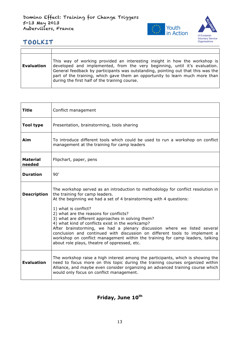

| <b>Evaluation</b> | This way of working provided an interesting insight in how the workshop is<br>developed and implemented, from the very beginning, until it's evaluation.<br>General feedback by participants was outstanding, pointing out that this was the<br>part of the training, which gave them an opportunity to learn much more than<br>during the first half of the training course. |
|-------------------|-------------------------------------------------------------------------------------------------------------------------------------------------------------------------------------------------------------------------------------------------------------------------------------------------------------------------------------------------------------------------------|

| Title                     | Conflict management                                                                                                                                                                                                                                                                                                                                                                                                                                                                                                                                                                                                                                            |
|---------------------------|----------------------------------------------------------------------------------------------------------------------------------------------------------------------------------------------------------------------------------------------------------------------------------------------------------------------------------------------------------------------------------------------------------------------------------------------------------------------------------------------------------------------------------------------------------------------------------------------------------------------------------------------------------------|
| <b>Tool type</b>          | Presentation, brainstorming, tools sharing                                                                                                                                                                                                                                                                                                                                                                                                                                                                                                                                                                                                                     |
| Aim                       | To introduce different tools which could be used to run a workshop on conflict<br>management at the training for camp leaders                                                                                                                                                                                                                                                                                                                                                                                                                                                                                                                                  |
| <b>Material</b><br>needed | Flipchart, paper, pens                                                                                                                                                                                                                                                                                                                                                                                                                                                                                                                                                                                                                                         |
| <b>Duration</b>           | 90'                                                                                                                                                                                                                                                                                                                                                                                                                                                                                                                                                                                                                                                            |
| <b>Description</b>        | The workshop served as an introduction to methodology for conflict resolution in<br>the training for camp leaders.<br>At the beginning we had a set of 4 brainstorming with 4 questions:<br>1) what is conflict?<br>2) what are the reasons for conflicts?<br>3) what are different approaches in solving them?<br>4) what kind of conflicts exist in the workcamp?<br>After brainstorming, we had a plenary discussion where we listed several<br>conclusion and continued with discussion on different tools to implement a<br>workshop on conflict management within the training for camp leaders, talking<br>about role plays, theatre of oppressed, etc. |
| <b>Evaluation</b>         | The workshop raise a high interest among the participants, which is showing the<br>need to focus more on this topic during the training courses organized within<br>Alliance, and maybe even consider organizing an advanced training course which<br>would only focus on conflict management.                                                                                                                                                                                                                                                                                                                                                                 |

#### Friday, June 10<sup>th</sup>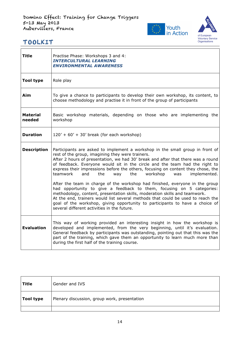

| <b>Title</b>       | Practise Phase: Workshops 3 and 4:<br><b>INTERCULTURAL LEARNING</b><br><b>ENVIRONMENTAL AWARENESS</b>                                                                                                                                                                                                                                                                                                                                                                                                                                                                                                                                                                                                                                                                                                                                                                                                                        |
|--------------------|------------------------------------------------------------------------------------------------------------------------------------------------------------------------------------------------------------------------------------------------------------------------------------------------------------------------------------------------------------------------------------------------------------------------------------------------------------------------------------------------------------------------------------------------------------------------------------------------------------------------------------------------------------------------------------------------------------------------------------------------------------------------------------------------------------------------------------------------------------------------------------------------------------------------------|
| <b>Tool type</b>   | Role play                                                                                                                                                                                                                                                                                                                                                                                                                                                                                                                                                                                                                                                                                                                                                                                                                                                                                                                    |
| Aim                | To give a chance to participants to develop their own workshop, its content, to<br>choose methodology and practise it in front of the group of participants                                                                                                                                                                                                                                                                                                                                                                                                                                                                                                                                                                                                                                                                                                                                                                  |
| Material<br>needed | Basic workshop materials, depending on those who are implementing the<br>workshop                                                                                                                                                                                                                                                                                                                                                                                                                                                                                                                                                                                                                                                                                                                                                                                                                                            |
| <b>Duration</b>    | $120' + 60' + 30'$ break (for each workshop)                                                                                                                                                                                                                                                                                                                                                                                                                                                                                                                                                                                                                                                                                                                                                                                                                                                                                 |
| <b>Description</b> | Participants are asked to implement a workshop in the small group in front of<br>rest of the group, imagining they were trainers.<br>After 2 hours of presentation, we had 30' break and after that there was a round<br>of feedback. Everyone would sit in the circle and the team had the right to<br>express their impressions before the others, focusing on content they chose, the<br>teamwork<br>implemented.<br>the<br>the<br>workshop<br>and<br>way<br>was<br>After the team in charge of the workshop had finished, everyone in the group<br>had opportunity to give a feedback to them, focusing on 5 categories:<br>methodology, content, presentation skills, moderation skills and teamwork.<br>At the end, trainers would list several methods that could be used to reach the<br>goal of the workshop, giving opportunity to participants to have a choice of<br>several different activities in the future. |
| <b>Evaluation</b>  | This way of working provided an interesting insight in how the workshop is<br>developed and implemented, from the very beginning, until it's evaluation.<br>General feedback by participants was outstanding, pointing out that this was the<br>part of the training, which gave them an opportunity to learn much more than<br>during the first half of the training course.                                                                                                                                                                                                                                                                                                                                                                                                                                                                                                                                                |

| <b>Title</b> | Gender and IVS                               |
|--------------|----------------------------------------------|
| Tool type    | Plenary discussion, group work, presentation |
|              |                                              |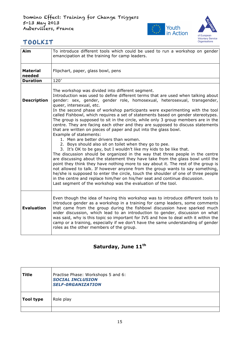

| Aim                       | To introduce different tools which could be used to run a workshop on gender<br>emancipation at the training for camp leaders.                                                                                                                                                                                                                                                                                                                                                                                                                                                                                                                                                                                                  |
|---------------------------|---------------------------------------------------------------------------------------------------------------------------------------------------------------------------------------------------------------------------------------------------------------------------------------------------------------------------------------------------------------------------------------------------------------------------------------------------------------------------------------------------------------------------------------------------------------------------------------------------------------------------------------------------------------------------------------------------------------------------------|
| <b>Material</b><br>needed | Flipchart, paper, glass bowl, pens                                                                                                                                                                                                                                                                                                                                                                                                                                                                                                                                                                                                                                                                                              |
| <b>Duration</b>           | 120'                                                                                                                                                                                                                                                                                                                                                                                                                                                                                                                                                                                                                                                                                                                            |
| <b>Description</b>        | The workshop was divided into different segment.<br>Introduction was used to define different terms that are used when talking about<br>gender: sex, gender, gender role, homosexual, heterosexual, transgender,<br>queer, intersexual, etc.<br>In the second phase of workshop participants were experimenting with the tool<br>called Fishbowl, which requires a set of statements based on gender stereotypes.<br>The group is supposed to sit in the circle, while only 3 group members are in the<br>centre. They are facing each other and they are supposed to discuss statements<br>that are written on pieces of paper and put into the glass bowl.<br>Example of statements:<br>1. Men are better drivers than women. |
|                           | 2. Boys should also sit on toilet when they go to pee.<br>3. It's OK to be gay, but I wouldn't like my kids to be like that.<br>The discussion should be organized in the way that three people in the centre<br>are discussing about the statement they have take from the glass bowl until the<br>point they think they have nothing more to say about it. The rest of the group is<br>not allowed to talk. If however anyone from the group wants to say something,<br>he/she is supposed to enter the circle, touch the shoulder of one of three people<br>in the centre and replace him/her on his/her seat and continue discussion.<br>Last segment of the workshop was the evaluation of the tool.                       |
| <b>Evaluation</b>         | Even though the idea of having this workshop was to introduce different tools to<br>introduce gender as a workshop in a training for camp leaders, some comments<br>that came from the group during the fishbowl discussion have sparked much<br>wider discussion, which lead to an introduction to gender, discussion on what<br>was said, why is this topic so important for IVS and how to deal with it within the<br>camp or a training, especially if we don't have the same understanding of gender<br>roles as the other members of the group.                                                                                                                                                                           |

# Saturday, June 11<sup>th</sup>

| Title     | Practise Phase: Workshops 5 and 6:<br><b>SOCIAL INCLUSION</b><br><b>SELF-ORGANIZATION</b> |
|-----------|-------------------------------------------------------------------------------------------|
| Tool type | Role play                                                                                 |
|           |                                                                                           |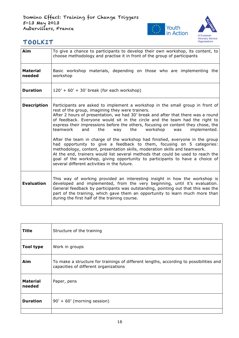

| Aim                       | To give a chance to participants to develop their own workshop, its content, to<br>choose methodology and practise it in front of the group of participants                                                                                                                                                                                                                                                                                                                                                                                                                                                                                                                                                                                                                                                                                                                                                               |
|---------------------------|---------------------------------------------------------------------------------------------------------------------------------------------------------------------------------------------------------------------------------------------------------------------------------------------------------------------------------------------------------------------------------------------------------------------------------------------------------------------------------------------------------------------------------------------------------------------------------------------------------------------------------------------------------------------------------------------------------------------------------------------------------------------------------------------------------------------------------------------------------------------------------------------------------------------------|
| <b>Material</b><br>needed | Basic workshop materials, depending on those who are implementing the<br>workshop                                                                                                                                                                                                                                                                                                                                                                                                                                                                                                                                                                                                                                                                                                                                                                                                                                         |
| <b>Duration</b>           | $120' + 60' + 30'$ break (for each workshop)                                                                                                                                                                                                                                                                                                                                                                                                                                                                                                                                                                                                                                                                                                                                                                                                                                                                              |
| <b>Description</b>        | Participants are asked to implement a workshop in the small group in front of<br>rest of the group, imagining they were trainers.<br>After 2 hours of presentation, we had 30' break and after that there was a round<br>of feedback. Everyone would sit in the circle and the team had the right to<br>express their impressions before the others, focusing on content they chose, the<br>the workshop<br>teamwork<br>and<br>the<br>way<br>implemented.<br>was<br>After the team in charge of the workshop had finished, everyone in the group<br>had opportunity to give a feedback to them, focusing on 5 categories:<br>methodology, content, presentation skills, moderation skills and teamwork.<br>At the end, trainers would list several methods that could be used to reach the<br>goal of the workshop, giving opportunity to participants to have a choice of<br>several different activities in the future. |
| <b>Evaluation</b>         | This way of working provided an interesting insight in how the workshop is<br>developed and implemented, from the very beginning, until it's evaluation.<br>General feedback by participants was outstanding, pointing out that this was the<br>part of the training, which gave them an opportunity to learn much more than<br>during the first half of the training course.                                                                                                                                                                                                                                                                                                                                                                                                                                                                                                                                             |

| <b>Title</b>              | Structure of the training                                                                                                       |
|---------------------------|---------------------------------------------------------------------------------------------------------------------------------|
| <b>Tool type</b>          | Work in groups                                                                                                                  |
| Aim                       | To make a structure for trainings of different lengths, according to possibilities and<br>capacities of different organizations |
| <b>Material</b><br>needed | Paper, pens                                                                                                                     |
| <b>Duration</b>           | $90' + 60'$ (morning session)                                                                                                   |
|                           |                                                                                                                                 |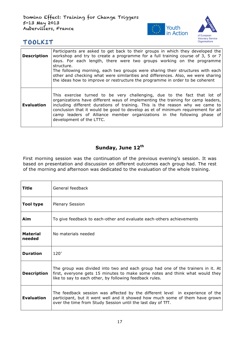

| <b>Description</b> | Participants are asked to get back to their groups in which they developed the<br>workshop and try to create a programme for a full training course of 3, 5 or 7<br>days. For each length, there were two groups working on the programme<br>structure.<br>The following morning, each two groups were sharing their structures with each<br>other and checking what were similarities and differences. Also, we were sharing<br>the ideas how to improve or restructure the programme in order to be coherent |
|--------------------|----------------------------------------------------------------------------------------------------------------------------------------------------------------------------------------------------------------------------------------------------------------------------------------------------------------------------------------------------------------------------------------------------------------------------------------------------------------------------------------------------------------|
| <b>Evaluation</b>  | This exercise turned to be very challenging, due to the fact that lot of<br>organizations have different ways of implementing the training for camp leaders,<br>including different durations of training. This is the reason why we came to<br>conclusion that it would be good to develop as et of minimum requirement for all<br>camp leaders of Alliance member organizations in the following phase of<br>development of the LTTC.                                                                        |

#### Sunday, June 12<sup>th</sup>

First morning session was the continuation of the previous evening's session. It was based on presentation and discussion on different outcomes each group had. The rest of the morning and afternoon was dedicated to the evaluation of the whole training.

| Title                     | General feedback                                                                                                                                                                                                             |
|---------------------------|------------------------------------------------------------------------------------------------------------------------------------------------------------------------------------------------------------------------------|
| <b>Tool type</b>          | <b>Plenary Session</b>                                                                                                                                                                                                       |
| Aim                       | To give feedback to each-other and evaluate each-others achievements                                                                                                                                                         |
| <b>Material</b><br>needed | No materials needed                                                                                                                                                                                                          |
| <b>Duration</b>           | 120'                                                                                                                                                                                                                         |
| <b>Description</b>        | The group was divided into two and each group had one of the trainers in it. At<br>first, everyone gets 15 minutes to make some notes and think what would they<br>like to say to each other, by following feedback rules.   |
| <b>Evaluation</b>         | The feedback session was affected by the different level in experience of the<br>participant, but it went well and it showed how much some of them have grown<br>over the time from Study Session until the last day of TfT. |